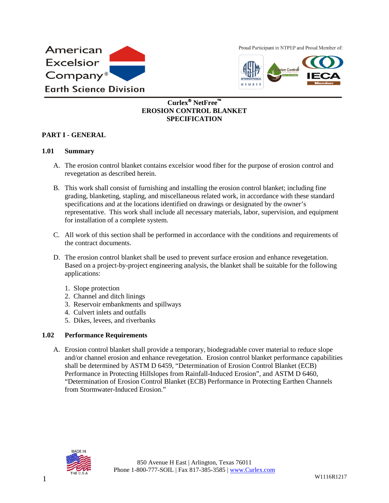

Proud Participant in NTPEP and Proud Member of:



# **Curlex NetFree EROSION CONTROL BLANKET SPECIFICATION**

## **PART I - GENERAL**

#### **1.01 Summary**

- A. The erosion control blanket contains excelsior wood fiber for the purpose of erosion control and revegetation as described herein.
- B. This work shall consist of furnishing and installing the erosion control blanket; including fine grading, blanketing, stapling, and miscellaneous related work, in accordance with these standard specifications and at the locations identified on drawings or designated by the owner's representative. This work shall include all necessary materials, labor, supervision, and equipment for installation of a complete system.
- C. All work of this section shall be performed in accordance with the conditions and requirements of the contract documents.
- D. The erosion control blanket shall be used to prevent surface erosion and enhance revegetation. Based on a project-by-project engineering analysis, the blanket shall be suitable for the following applications:
	- 1. Slope protection
	- 2. Channel and ditch linings
	- 3. Reservoir embankments and spillways
	- 4. Culvert inlets and outfalls
	- 5. Dikes, levees, and riverbanks

### **1.02 Performance Requirements**

A. Erosion control blanket shall provide a temporary, biodegradable cover material to reduce slope and/or channel erosion and enhance revegetation. Erosion control blanket performance capabilities shall be determined by ASTM D 6459, "Determination of Erosion Control Blanket (ECB) Performance in Protecting Hillslopes from Rainfall-Induced Erosion", and ASTM D 6460, "Determination of Erosion Control Blanket (ECB) Performance in Protecting Earthen Channels from Stormwater-Induced Erosion"

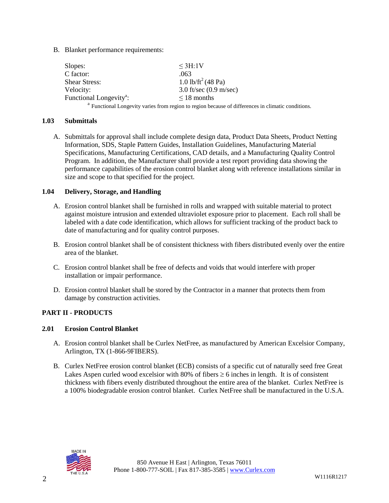B. Blanket performance requirements:

| Slopes:                             | $\leq$ 3H:1V                                                                                                  |
|-------------------------------------|---------------------------------------------------------------------------------------------------------------|
| C factor:                           | .063                                                                                                          |
| <b>Shear Stress:</b>                | 1.0 lb/ft <sup>2</sup> (48 Pa)                                                                                |
| Velocity:                           | 3.0 ft/sec $(0.9 \text{ m/sec})$                                                                              |
| Functional Longevity <sup>a</sup> : | $\leq$ 18 months                                                                                              |
|                                     | <sup>a</sup> Functional Longevity varies from region to region because of differences in climatic conditions. |

#### **1.03 Submittals**

A. Submittals for approval shall include complete design data, Product Data Sheets, Product Netting Information, SDS, Staple Pattern Guides, Installation Guidelines, Manufacturing Material Specifications, Manufacturing Certifications, CAD details, and a Manufacturing Quality Control Program. In addition, the Manufacturer shall provide a test report providing data showing the performance capabilities of the erosion control blanket along with reference installations similar in size and scope to that specified for the project.

### **1.04 Delivery, Storage, and Handling**

- A. Erosion control blanket shall be furnished in rolls and wrapped with suitable material to protect against moisture intrusion and extended ultraviolet exposure prior to placement. Each roll shall be labeled with a date code identification, which allows for sufficient tracking of the product back to date of manufacturing and for quality control purposes.
- B. Erosion control blanket shall be of consistent thickness with fibers distributed evenly over the entire area of the blanket.
- C. Erosion control blanket shall be free of defects and voids that would interfere with proper installation or impair performance.
- D. Erosion control blanket shall be stored by the Contractor in a manner that protects them from damage by construction activities.

# **PART II - PRODUCTS**

### **2.01 Erosion Control Blanket**

- A. Erosion control blanket shall be Curlex NetFree, as manufactured by American Excelsior Company, Arlington, TX (1-866-9FIBERS).
- B. Curlex NetFree erosion control blanket (ECB) consists of a specific cut of naturally seed free Great Lakes Aspen curled wood excelsior with 80% of fibers  $\geq 6$  inches in length. It is of consistent thickness with fibers evenly distributed throughout the entire area of the blanket. Curlex NetFree is a 100% biodegradable erosion control blanket. Curlex NetFree shall be manufactured in the U.S.A.

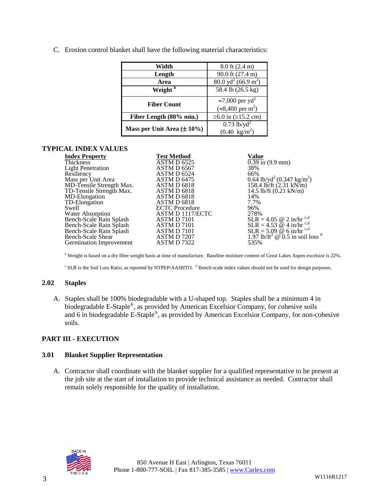C. Erosion control blanket shall have the following material characteristics:

| Width                           | $8.0$ ft $(2.4 \text{ m})$             |
|---------------------------------|----------------------------------------|
| Length                          | 90.0 ft (27.4 m)                       |
| Area                            | $80.0 \text{ yd}^2 (66.9 \text{ m}^2)$ |
| Weight <sup>b</sup>             | 58.4 lb (26.5 kg)                      |
| <b>Fiber Count</b>              | $\approx$ 7,000 per yd <sup>2</sup>    |
|                                 | $(*8,400 \text{ per m}^2)$             |
| Fiber Length (80% min.)         | $≥6.0$ in ( $≥15.2$ cm)                |
|                                 | $0.73$ lb/yd <sup>2</sup>              |
| Mass per Unit Area $(\pm 10\%)$ | $(0.40 \text{ kg/m}^2)$                |

## **TYPICAL INDEX VALUES**

| <b>Index Property</b>    | <b>Test Method</b>    | Value                                                                           |
|--------------------------|-----------------------|---------------------------------------------------------------------------------|
| <b>Thickness</b>         | ASTM D 6525           | $\overline{0.39}$ in (9.9 mm)                                                   |
| <b>Light Penetration</b> | ASTM D 6567           | 38%                                                                             |
| Resiliency               | ASTM D 6524           | 66%                                                                             |
| Mass per Unit Area       | ASTM D 6475           | $0.64$ lb/yd <sup>2</sup> (0.347 kg/m <sup>2</sup> )<br>158.4 lb/ft (2.31 kN/m) |
| MD-Tensile Strength Max. | ASTM D 6818           |                                                                                 |
| TD-Tensile Strength Max. | ASTM D 6818           | 14.5 lb/ft $(0.21 \text{ kN/m})$                                                |
| MD-Elongation            | ASTM D 6818           | 14%                                                                             |
| TD-Elongation            | ASTM D 6818           | 7.7%                                                                            |
| Swell                    | <b>ECTC</b> Procedure | 96%                                                                             |
| Water Absorption         | ASTM D 1117/ECTC      | 278%                                                                            |
| Bench-Scale Rain Splash  | ASTM D 7101           |                                                                                 |
| Bench-Scale Rain Splash  | ASTM D 7101           | SLR = 4.05 @ 2 in/hr c,d<br>SLR = 4.53 @ 4 in/hr                                |
| Bench-Scale Rain Splash  | ASTM D 7101           | $SLR = 5.09 \& 6 \text{ in/hr}^{\text{c,d}}$                                    |
| Bench-Scale Shear        | ASTM D 7207           | 1.97 lb/ft <sup>2</sup> $\omega$ 0.5 in soil loss <sup>d</sup>                  |
| Germination Improvement  | ASTM D 7322           | 535%                                                                            |

<sup>b</sup> Weight is based on a dry fiber weight basis at time of manufacture. Baseline moisture content of Great Lakes Aspen excelsior is 22%.

<sup>c</sup> SLR is the Soil Loss Ratio, as reported by NTPEP/AASHTO. <sup>d</sup> Bench-scale index values should not be used for design purposes.

# **2.02 Staples**

A. Staples shall be 100% biodegradable with a U-shaped top. Staples shall be a minimum 4 in biodegradable E-Staple®, as provided by American Excelsior Company, for cohesive soils and 6 in biodegradable E-Staple®, as provided by American Excelsior Company, for non-cohesive soils.

### **PART III - EXECUTION**

### **3.01 Blanket Supplier Representation**

A. Contractor shall coordinate with the blanket supplier for a qualified representative to be present at the job site at the start of installation to provide technical assistance as needed. Contractor shall remain solely responsible for the quality of installation.

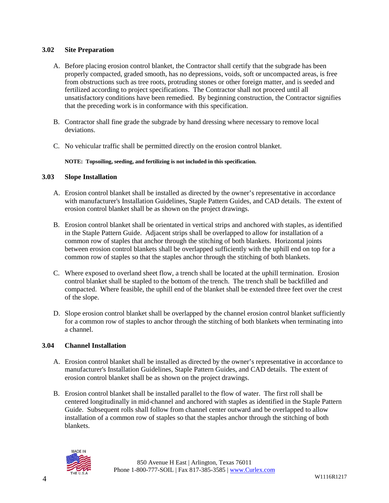## **3.02 Site Preparation**

- A. Before placing erosion control blanket, the Contractor shall certify that the subgrade has been properly compacted, graded smooth, has no depressions, voids, soft or uncompacted areas, is free from obstructions such as tree roots, protruding stones or other foreign matter, and is seeded and fertilized according to project specifications. The Contractor shall not proceed until all unsatisfactory conditions have been remedied. By beginning construction, the Contractor signifies that the preceding work is in conformance with this specification.
- B. Contractor shall fine grade the subgrade by hand dressing where necessary to remove local deviations.
- C. No vehicular traffic shall be permitted directly on the erosion control blanket.

### **NOTE: Topsoiling, seeding, and fertilizing is not included in this specification.**

## **3.03 Slope Installation**

- A. Erosion control blanket shall be installed as directed by the owner's representative in accordance with manufacturer's Installation Guidelines, Staple Pattern Guides, and CAD details. The extent of erosion control blanket shall be as shown on the project drawings.
- B. Erosion control blanket shall be orientated in vertical strips and anchored with staples, as identified in the Staple Pattern Guide. Adjacent strips shall be overlapped to allow for installation of a common row of staples that anchor through the stitching of both blankets. Horizontal joints between erosion control blankets shall be overlapped sufficiently with the uphill end on top for a common row of staples so that the staples anchor through the stitching of both blankets.
- C. Where exposed to overland sheet flow, a trench shall be located at the uphill termination. Erosion control blanket shall be stapled to the bottom of the trench. The trench shall be backfilled and compacted. Where feasible, the uphill end of the blanket shall be extended three feet over the crest of the slope.
- D. Slope erosion control blanket shall be overlapped by the channel erosion control blanket sufficiently for a common row of staples to anchor through the stitching of both blankets when terminating into a channel.

### **3.04 Channel Installation**

- A. Erosion control blanket shall be installed as directed by the owner's representative in accordance to manufacturer's Installation Guidelines, Staple Pattern Guides, and CAD details. The extent of erosion control blanket shall be as shown on the project drawings.
- B. Erosion control blanket shall be installed parallel to the flow of water. The first roll shall be centered longitudinally in mid-channel and anchored with staples as identified in the Staple Pattern Guide. Subsequent rolls shall follow from channel center outward and be overlapped to allow installation of a common row of staples so that the staples anchor through the stitching of both blankets.

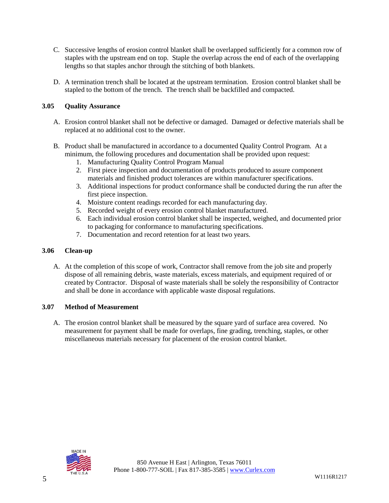- C. Successive lengths of erosion control blanket shall be overlapped sufficiently for a common row of staples with the upstream end on top. Staple the overlap across the end of each of the overlapping lengths so that staples anchor through the stitching of both blankets.
- D. A termination trench shall be located at the upstream termination. Erosion control blanket shall be stapled to the bottom of the trench. The trench shall be backfilled and compacted.

# **3.05 Quality Assurance**

- A. Erosion control blanket shall not be defective or damaged. Damaged or defective materials shall be replaced at no additional cost to the owner.
- B. Product shall be manufactured in accordance to a documented Quality Control Program. At a minimum, the following procedures and documentation shall be provided upon request:
	- 1. Manufacturing Quality Control Program Manual
	- 2. First piece inspection and documentation of products produced to assure component materials and finished product tolerances are within manufacturer specifications.
	- 3. Additional inspections for product conformance shall be conducted during the run after the first piece inspection.
	- 4. Moisture content readings recorded for each manufacturing day.
	- 5. Recorded weight of every erosion control blanket manufactured.
	- 6. Each individual erosion control blanket shall be inspected, weighed, and documented prior to packaging for conformance to manufacturing specifications.
	- 7. Documentation and record retention for at least two years.

#### **3.06 Clean-up**

A. At the completion of this scope of work, Contractor shall remove from the job site and properly dispose of all remaining debris, waste materials, excess materials, and equipment required of or created by Contractor. Disposal of waste materials shall be solely the responsibility of Contractor and shall be done in accordance with applicable waste disposal regulations.

### **3.07 Method of Measurement**

A. The erosion control blanket shall be measured by the square yard of surface area covered. No measurement for payment shall be made for overlaps, fine grading, trenching, staples, or other miscellaneous materials necessary for placement of the erosion control blanket.